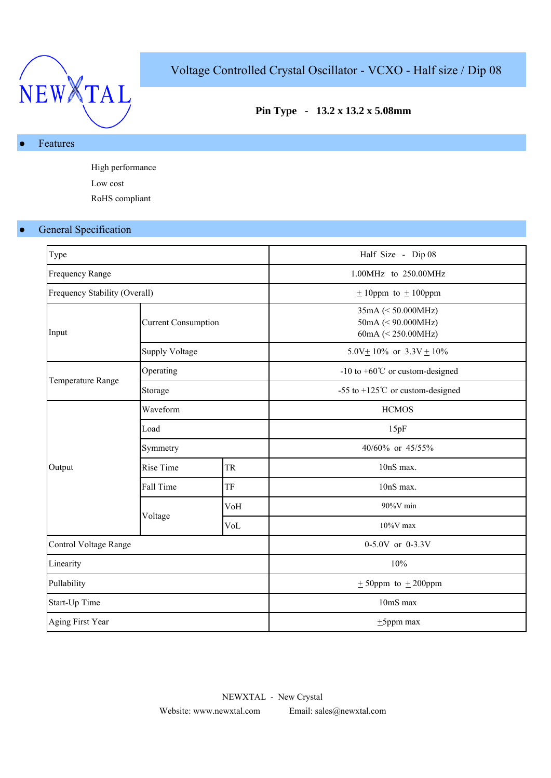

# Voltage Controlled Crystal Oscillator - VCXO - Half size / Dip 08

## **Pin Type - 13.2 x 13.2 x 5.08mm**

#### Features

High performance Low cost RoHS compliant

### ● General Specification

| Type                          |                            |           | Half Size - Dip 08                                                      |
|-------------------------------|----------------------------|-----------|-------------------------------------------------------------------------|
| <b>Frequency Range</b>        |                            |           | 1.00MHz to 250.00MHz                                                    |
| Frequency Stability (Overall) |                            |           | $\pm$ 10ppm to $\pm$ 100ppm                                             |
| Input                         | <b>Current Consumption</b> |           | $35mA \leq 50.000MHz$<br>$50mA \leq 90.000MHz$<br>60mA $(< 250.00$ MHz) |
|                               | <b>Supply Voltage</b>      |           | 5.0V + 10% or $3.3V$ + 10%                                              |
|                               | Operating                  |           | -10 to $+60^{\circ}$ C or custom-designed                               |
| Temperature Range             | Storage                    |           | -55 to +125 $^{\circ}$ C or custom-designed                             |
|                               | Waveform                   |           | <b>HCMOS</b>                                                            |
|                               | Load                       |           | 15pF                                                                    |
|                               | Symmetry                   |           | 40/60% or 45/55%                                                        |
| Output                        | <b>Rise Time</b>           | <b>TR</b> | 10nS max.                                                               |
|                               | Fall Time                  | TF        | 10nS max.                                                               |
|                               |                            | VoH       | $90\%$ V min                                                            |
|                               | Voltage                    | VoL       | $10\%$ V max                                                            |
| Control Voltage Range         |                            |           | 0-5.0V or 0-3.3V                                                        |
| Linearity                     |                            |           | 10%                                                                     |
| Pullability                   |                            |           | $\pm$ 50ppm to $\pm$ 200ppm                                             |
| Start-Up Time                 |                            |           | 10mS max                                                                |
| Aging First Year              |                            |           | $\pm$ 5ppm max                                                          |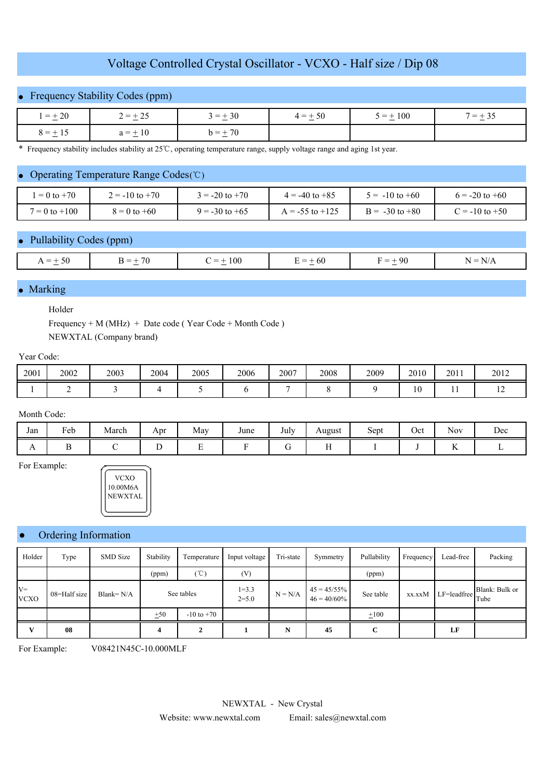### Voltage Controlled Crystal Oscillator - VCXO - Half size / Dip 08

## **Frequency Stability Codes (ppm)**

| $=\pm 20$ | $1 = +25$<br>$\pm$ 2.3 | $3 = +30$                                    | $1 = +50$ | $5 = \pm 100$ | $= +$<br>$\cdot$ 33 |
|-----------|------------------------|----------------------------------------------|-----------|---------------|---------------------|
| $8 = +15$ | -10<br>า =<br>$\sim$   | 70<br>n =<br>7 V<br>$\overline{\phantom{a}}$ |           |               |                     |

\* Frequency stability includes stability at 25 ℃, operating temperature range, supply voltage range and aging 1st year.

#### Operating Temperature Range Codes (℃)

| $= 0$ to $+70$    | $2 = -10$ to $+70$ | $= -20$ to $+70$   | $4 = -40$ to $+85$  | $\bar{v} = -10$ to +60 | $6 = -20$ to $+60$     |
|-------------------|--------------------|--------------------|---------------------|------------------------|------------------------|
| $7 = 0$ to $+100$ | $8 = 0$ to $+60$   | $9 = -30$ to $+65$ | $A = -55$ to $+125$ | $B = -30$ to $+80$     | $\degree$ = -10 to +50 |

### Pullability Codes (ppm)

| $\sim$ $\sim$<br>$= +$<br>.5U<br>$\sim$ | $\overline{\phantom{a}}$<br>$\overline{\phantom{a}}$<br>المسترد | 100<br>$\sim$ | - 60<br>$= +$<br>$\sim$ | $+90$<br>=<br>$\overline{\phantom{0}}$ | $=$<br>N<br>$\mathbf{N}$<br>$1$ N/ $\bm{A}$ |
|-----------------------------------------|-----------------------------------------------------------------|---------------|-------------------------|----------------------------------------|---------------------------------------------|
|                                         |                                                                 |               |                         |                                        |                                             |

#### Marking

#### Holder

Frequency + M (MHz) + Date code ( Year Code + Month Code ) NEWXTAL (Company brand)

#### Year Code:

| 2001 | 2002 | 2003 | 2004 | 2005 | 2006 | 2007 | 2008 | 2009 | 2010         | 2011 | 2012 |
|------|------|------|------|------|------|------|------|------|--------------|------|------|
|      |      |      |      |      |      |      |      |      | $\sim$<br>1Ψ | . .  |      |

#### Month Code:

| Jan | Feb | March | Apr | May | June | July | August<br>ັ     | $\sim$<br>Sept | $\sim$<br>Oct | <b>Nov</b>                      | Dec |
|-----|-----|-------|-----|-----|------|------|-----------------|----------------|---------------|---------------------------------|-----|
| 1 L | -   |       |     |     |      | ◡    | <b>1979</b><br> |                |               | $\sim$ $\sim$<br>$\overline{1}$ |     |

For Example:



#### Ordering Information

| Holder               | Type         | <b>SMD</b> Size | Stability  | Temperature    | Input voltage        | Tri-state | Symmetry                         | Pullability | Frequency | Lead-free               | Packing                |
|----------------------|--------------|-----------------|------------|----------------|----------------------|-----------|----------------------------------|-------------|-----------|-------------------------|------------------------|
|                      |              |                 | (ppm)      | (°C)           | (V)                  |           |                                  | (ppm)       |           |                         |                        |
| $V =$<br><b>VCXO</b> | 08=Half size | Blank= $N/A$    | See tables |                | $1 = 3.3$<br>$2=5.0$ | $N = N/A$ | $45 = 45/55\%$<br>$46 = 40/60\%$ | See table   | xx.xxM    | $LF=$ leadfree $\Gamma$ | Blank: Bulk or<br>Tube |
|                      |              |                 | ±50        | $-10$ to $+70$ |                      |           |                                  | $+100$      |           |                         |                        |
| v                    | 08           |                 |            |                |                      | N         | 45                               | C           |           | LF                      |                        |

For Example: V08421N45C-10.000MLF